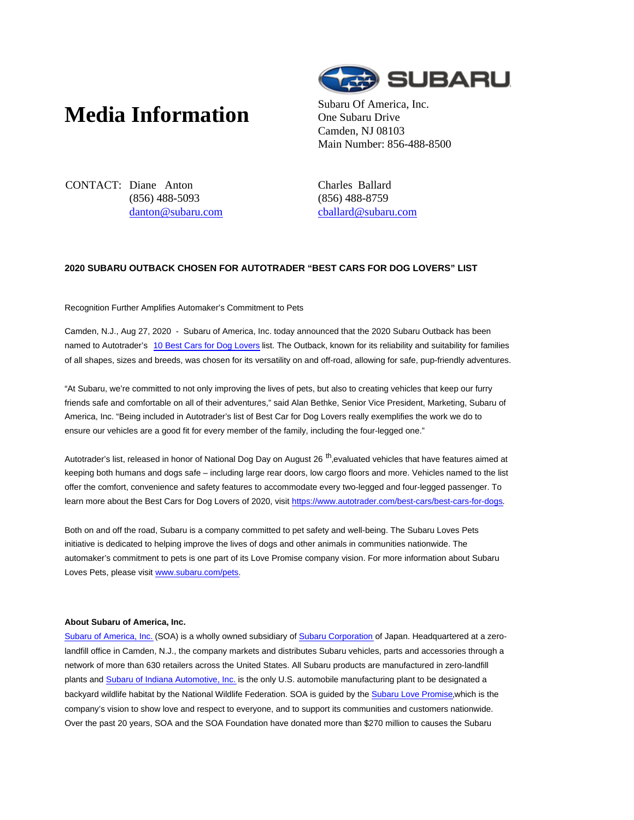## **Media Information** Subaru Of America, Inc.



One Subaru Drive Camden, NJ 08103 Main Number: 856-488-8500

CONTACT: Diane Anton (856) 488-5093 danton@subaru.com Charles Ballard (856) 488-8759 cballard@subaru.com

## **2020 SUBARU OUTBACK CHOSEN FOR AUTOTRADER "BEST CARS FOR DOG LOVERS" LIST**

## Recognition Further Amplifies Automaker's Commitment to Pets

Camden, N.J., Aug 27, 2020 - Subaru of America, Inc. today announced that the 2020 Subaru Outback has been named to Autotrader's 10 Best Cars for Dog Lovers list. The Outback, known for its reliability and suitability for families of all shapes, sizes and breeds, was chosen for its versatility on and off-road, allowing for safe, pup-friendly adventures.

"At Subaru, we're committed to not only improving the lives of pets, but also to creating vehicles that keep our furry friends safe and comfortable on all of their adventures," said Alan Bethke, Senior Vice President, Marketing, Subaru of America, Inc. "Being included in Autotrader's list of Best Car for Dog Lovers really exemplifies the work we do to ensure our vehicles are a good fit for every member of the family, including the four-legged one."

Autotrader's list, released in honor of National Dog Day on August 26 <sup>th</sup>,evaluated vehicles that have features aimed at keeping both humans and dogs safe – including large rear doors, low cargo floors and more. Vehicles named to the list offer the comfort, convenience and safety features to accommodate every two-legged and four-legged passenger. To learn more about the Best Cars for Dog Lovers of 2020, visit https://www.autotrader.com/best-cars/best-cars-for-dogs.

Both on and off the road, Subaru is a company committed to pet safety and well-being. The Subaru Loves Pets initiative is dedicated to helping improve the lives of dogs and other animals in communities nationwide. The automaker's commitment to pets is one part of its Love Promise company vision. For more information about Subaru Loves Pets, please visit www.subaru.com/pets.

## **About Subaru of America, Inc.**

Subaru of America, Inc. (SOA) is a wholly owned subsidiary of Subaru Corporation of Japan. Headquartered at a zerolandfill office in Camden, N.J., the company markets and distributes Subaru vehicles, parts and accessories through a network of more than 630 retailers across the United States. All Subaru products are manufactured in zero-landfill plants and Subaru of Indiana Automotive, Inc. is the only U.S. automobile manufacturing plant to be designated a backyard wildlife habitat by the National Wildlife Federation. SOA is guided by the Subaru Love Promise,which is the company's vision to show love and respect to everyone, and to support its communities and customers nationwide. Over the past 20 years, SOA and the SOA Foundation have donated more than \$270 million to causes the Subaru